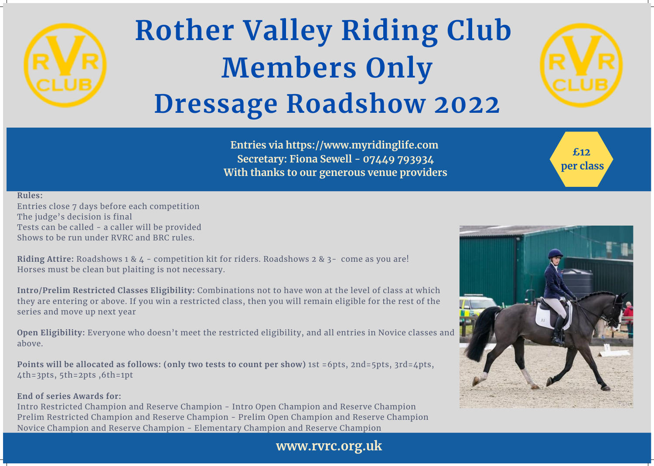

### **Rother Valley Riding Club Members Only Dressage Roadshow 2022**

**Rules:**

Entries close 7 days before each competition The judge's decision is final Tests can be called - a caller will be provided Shows to be run under RVRC and BRC rules.

**Riding Attire:** Roadshows 1 & 4 - competition kit for riders. Roadshows 2 & 3- come as you are! Horses must be clean but plaiting is not necessary.

**Intro/Prelim Restricted Classes Eligibility:** Combinations not to have won at the level of class at which they are entering or above. If you win a restricted class, then you will remain eligible for the rest of the series and move up next year

**Open Eligibility:** Everyone who doesn't meet the restricted eligibility, and all entries in Novice classes and above.

**Points will be allocated as follows: (only two tests to count per show)** 1st =6pts, 2nd=5pts, 3rd=4pts, 4th=3pts, 5th=2pts ,6th=1pt

### **End of series Awards for:**

Intro Restricted Champion and Reserve Champion - Intro Open Champion and Reserve Champion Prelim Restricted Champion and Reserve Champion - Prelim Open Champion and Reserve Champion Novice Champion and Reserve Champion - Elementary Champion and Reserve Champion

**Entries via https://www.myridinglife.com Secretary: Fiona Sewell - 07449 793934 With thanks to our generous venue providers**





**£12**

**per class**